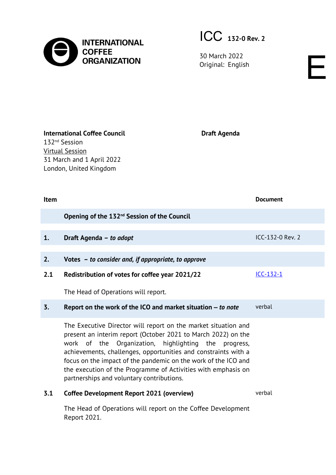

ICC **132-0 Rev. 2**

30 March 2022 SO March 2022<br>Original: English English

**International Coffee Council** 132nd Session Virtual Session 31 March and 1 April 2022 London, United Kingdom

**Draft Agenda**

| <b>Item</b> |                                                              | <b>Document</b>    |
|-------------|--------------------------------------------------------------|--------------------|
|             | Opening of the 132 <sup>nd</sup> Session of the Council      |                    |
| 1.          | Draft Agenda - to adopt                                      | $ICC-132-0$ Rev. 2 |
| 2.          | Votes $-$ to consider and, if appropriate, to approve        |                    |
| 2.1         | Redistribution of votes for coffee year 2021/22              | $ICC-132-1$        |
|             | The Head of Operations will report.                          |                    |
| 3.          | Report on the work of the ICO and market situation – to note | verbal             |

The Executive Director will report on the market situation and present an interim report (October 2021 to March 2022) on the work of the Organization, highlighting the progress, achievements, challenges, opportunities and constraints with a focus on the impact of the pandemic on the work of the ICO and the execution of the Programme of Activities with emphasis on partnerships and voluntary contributions.

## **3.1 Coffee Development Report 2021 (overview)** [verbal](https://www.internationalcoffeecouncil.com/cdr2020)

The Head of Operations will report on the Coffee Development Report 2021.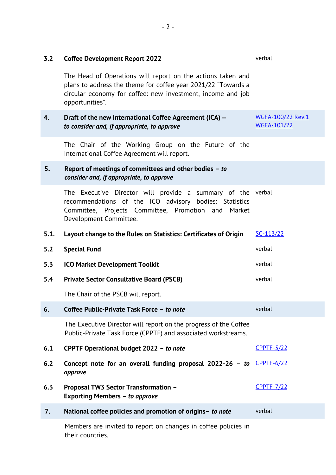| 3.2  | <b>Coffee Development Report 2022</b>                                                                                                                                                                          | verbal                           |
|------|----------------------------------------------------------------------------------------------------------------------------------------------------------------------------------------------------------------|----------------------------------|
|      | The Head of Operations will report on the actions taken and<br>plans to address the theme for coffee year 2021/22 "Towards a<br>circular economy for coffee: new investment, income and job<br>opportunities". |                                  |
| 4.   | Draft of the new International Coffee Agreement (ICA) -<br>to consider and, if appropriate, to approve                                                                                                         | WGFA-100/22 Rev.1<br>WGFA-101/22 |
|      | The Chair of the Working Group on the Future of the<br>International Coffee Agreement will report.                                                                                                             |                                  |
| 5.   | Report of meetings of committees and other bodies - to<br>consider and, if appropriate, to approve                                                                                                             |                                  |
|      | The Executive Director will provide a summary of the verbal<br>recommendations of the ICO advisory bodies: Statistics<br>Committee, Projects Committee, Promotion and<br>Market<br>Development Committee.      |                                  |
| 5.1. | Layout change to the Rules on Statistics: Certificates of Origin                                                                                                                                               | SC-113/22                        |
|      |                                                                                                                                                                                                                |                                  |
| 5.2  | <b>Special Fund</b>                                                                                                                                                                                            | verbal                           |
| 5.3  | <b>ICO Market Development Toolkit</b>                                                                                                                                                                          | verbal                           |
| 5.4  | <b>Private Sector Consultative Board (PSCB)</b>                                                                                                                                                                | verbal                           |
|      | The Chair of the PSCB will report.                                                                                                                                                                             |                                  |
| 6.   | Coffee Public-Private Task Force - to note                                                                                                                                                                     | verbal                           |
|      | The Executive Director will report on the progress of the Coffee<br>Public-Private Task Force (CPPTF) and associated workstreams.                                                                              |                                  |
| 6.1  | CPPTF Operational budget 2022 - to note                                                                                                                                                                        | <b>CPPTF-5/22</b>                |
| 6.2  | Concept note for an overall funding proposal 2022-26 - to $CP$ FTF-6/22<br>approve                                                                                                                             |                                  |
| 6.3  | <b>Proposal TW3 Sector Transformation -</b><br><b>Exporting Members - to approve</b>                                                                                                                           | <b>CPPTF-7/22</b>                |
| 7.   | National coffee policies and promotion of origins- to note                                                                                                                                                     | verbal                           |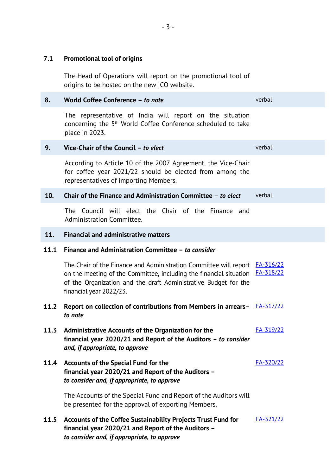origins to be hosted on the new ICO website. **8. World Coffee Conference –** *to note* verbal The representative of India will report on the situation concerning the 5th World Coffee Conference scheduled to take place in 2023. **9. Vice-Chair of the Council** *– to elect* verbal According to Article 10 of the 2007 Agreement, the Vice-Chair for coffee year 2021/22 should be elected from among the representatives of importing Members. **10. Chair of the Finance and Administration Committee** *– to elect* verbal The Council will elect the Chair of the Finance and Administration Committee. **11. Financial and administrative matters 11.1 Finance and Administration Committee –** *to consider* The Chair of the Finance and Administration Committee will report **[FA-316/22](https://www.ico.org/documents/cy2021-22/Restricted/fa-316e-financial-situation.pdf)** on the meeting of the Committee, including the financial situation **[FA-318/22](https://www.ico.org/documents/cy2021-22/Restricted/fa-318e-budget-2022-23.pdf)** of the Organization and the draft Administrative Budget for the financial year 2022/23. **11.2 Report on collection of contributions from Members in arrears***–* [FA-317/22](https://www.ico.org/documents/cy2021-22/Restricted/fa-317e-report-outstanding-contributions.pdf) *to note* **11.3 Administrative Accounts of the Organization for the financial year 2020/21 and Report of the Auditors** *– to consider and, if appropriate, to approve* [FA-319/22](https://www.ico.org/documents/cy2021-22/Restricted/fa-319e-accounts-admin-2020-21.pdf) **11.4 Accounts of the Special Fund for the financial year 2020/21 and Report of the Auditors –** *to consider and, if appropriate, to approve* [FA-320/22](https://www.ico.org/documents/cy2021-22/Restricted/fa-320e-accounts-sf-2020-21.pdf) The Accounts of the Special Fund and Report of the Auditors will be presented for the approval of exporting Members. **11.5 Accounts of the Coffee Sustainability Projects Trust Fund for financial year 2020/21 and Report of the Auditors –** *to consider and, if appropriate, to approve* [FA-321/22](https://www.ico.org/documents/cy2021-22/Restricted/fa-321e-accounts-trust-fund-2020-21.pdf)

**7.1 Promotional tool of origins**

The Head of Operations will report on the promotional tool of